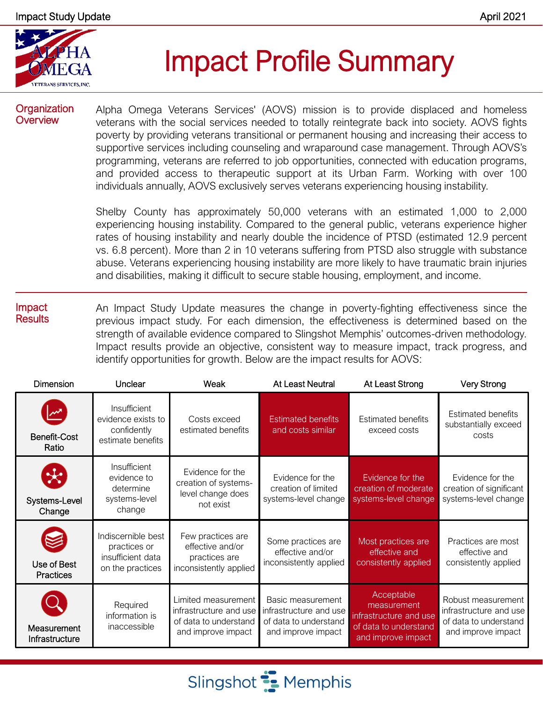

# Impact Profile Summary

#### **Organization Overview**

Alpha Omega Veterans Services' (AOVS) mission is to provide displaced and homeless veterans with the social services needed to totally reintegrate back into society. AOVS fights poverty by providing veterans transitional or permanent housing and increasing their access to supportive services including counseling and wraparound case management. Through AOVS's programming, veterans are referred to job opportunities, connected with education programs, and provided access to therapeutic support at its Urban Farm. Working with over 100 individuals annually, AOVS exclusively serves veterans experiencing housing instability.

Shelby County has approximately 50,000 veterans with an estimated 1,000 to 2,000 experiencing housing instability. Compared to the general public, veterans experience higher rates of housing instability and nearly double the incidence of PTSD (estimated 12.9 percent vs. 6.8 percent). More than 2 in 10 veterans suffering from PTSD also struggle with substance abuse. Veterans experiencing housing instability are more likely to have traumatic brain injuries and disabilities, making it difficult to secure stable housing, employment, and income.

#### Impact **Results** An Impact Study Update measures the change in poverty-fighting effectiveness since the previous impact study. For each dimension, the effectiveness is determined based on the strength of available evidence compared to Slingshot Memphis' outcomes-driven methodology. Impact results provide an objective, consistent way to measure impact, track progress, and identify opportunities for growth. Below are the impact results for AOVS:

| <b>Dimension</b>                         | Unclear                                                                     | Weak                                                                                         | At Least Neutral                                                                           | At Least Strong                                                                                    | <b>Very Strong</b>                                                                          |
|------------------------------------------|-----------------------------------------------------------------------------|----------------------------------------------------------------------------------------------|--------------------------------------------------------------------------------------------|----------------------------------------------------------------------------------------------------|---------------------------------------------------------------------------------------------|
| Benefit-Cost<br>Ratio                    | Insufficient<br>evidence exists to<br>confidently<br>estimate benefits      | Costs exceed<br>estimated benefits                                                           | <b>Estimated benefits</b><br>and costs similar                                             | <b>Estimated benefits</b><br>exceed costs                                                          | <b>Estimated benefits</b><br>substantially exceed<br>costs                                  |
| $\mathcal{R}$<br>Systems-Level<br>Change | Insufficient<br>evidence to<br>determine<br>systems-level<br>change         | Evidence for the<br>creation of systems-<br>level change does<br>not exist                   | Evidence for the<br>creation of limited<br>systems-level change                            | Evidence for the<br>creation of moderate<br>systems-level change                                   | Evidence for the<br>creation of significant<br>systems-level change                         |
| Use of Best<br><b>Practices</b>          | Indiscernible best<br>practices or<br>insufficient data<br>on the practices | Few practices are<br>effective and/or<br>practices are<br>inconsistently applied             | Some practices are<br>effective and/or<br>inconsistently applied                           | Most practices are<br>effective and<br>consistently applied                                        | Practices are most<br>effective and<br>consistently applied                                 |
| Measurement<br>Infrastructure            | Required<br>information is<br>inaccessible                                  | Limited measurement<br>infrastructure and use<br>of data to understand<br>and improve impact | Basic measurement<br>infrastructure and use<br>of data to understand<br>and improve impact | Acceptable<br>measurement<br>infrastructure and use<br>of data to understand<br>and improve impact | Robust measurement<br>infrastructure and use<br>of data to understand<br>and improve impact |

Slingshot **E** Memphis